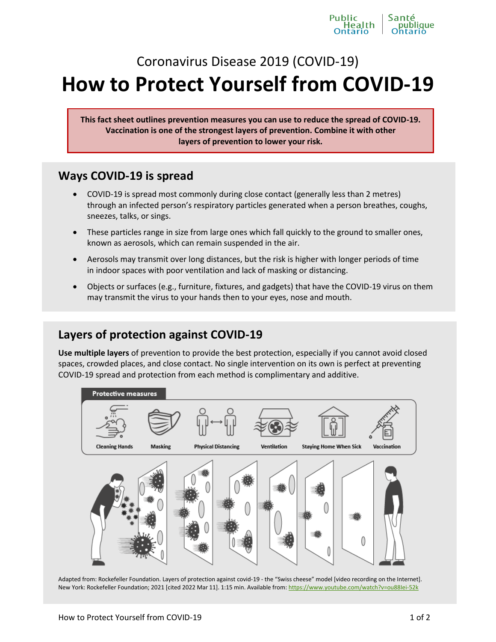

## Coronavirus Disease 2019 (COVID-19)

# **How to Protect Yourself from COVID-19**

**This fact sheet outlines prevention measures you can use to reduce the spread of COVID-19. Vaccination is one of the strongest layers of prevention. Combine it with other layers of prevention to lower your risk.**

#### **Ways COVID-19 is spread**

- COVID-19 is spread most commonly during close contact (generally less than 2 metres) through an infected person's respiratory particles generated when a person breathes, coughs, sneezes, talks, or sings.
- These particles range in size from large ones which fall quickly to the ground to smaller ones, known as aerosols, which can remain suspended in the air.
- Aerosols may transmit over long distances, but the risk is higher with longer periods of time in indoor spaces with poor ventilation and lack of masking or distancing.
- Objects or surfaces (e.g., furniture, fixtures, and gadgets) that have the COVID-19 virus on them may transmit the virus to your hands then to your eyes, nose and mouth.

#### **Layers of protection against COVID-19**

**Use multiple layers** of prevention to provide the best protection, especially if you cannot avoid closed spaces, crowded places, and close contact. No single intervention on its own is perfect at preventing COVID-19 spread and protection from each method is complimentary and additive.



Adapted from: Rockefeller Foundation. Layers of protection against covid-19 - the "Swiss cheese" model [video recording on the Internet]. New York: Rockefeller Foundation; 2021 [cited 2022 Mar 11]. 1:15 min. Available from[: https://www.youtube.com/watch?v=ou88Iei-52k](https://www.youtube.com/watch?v=ou88Iei-52k)